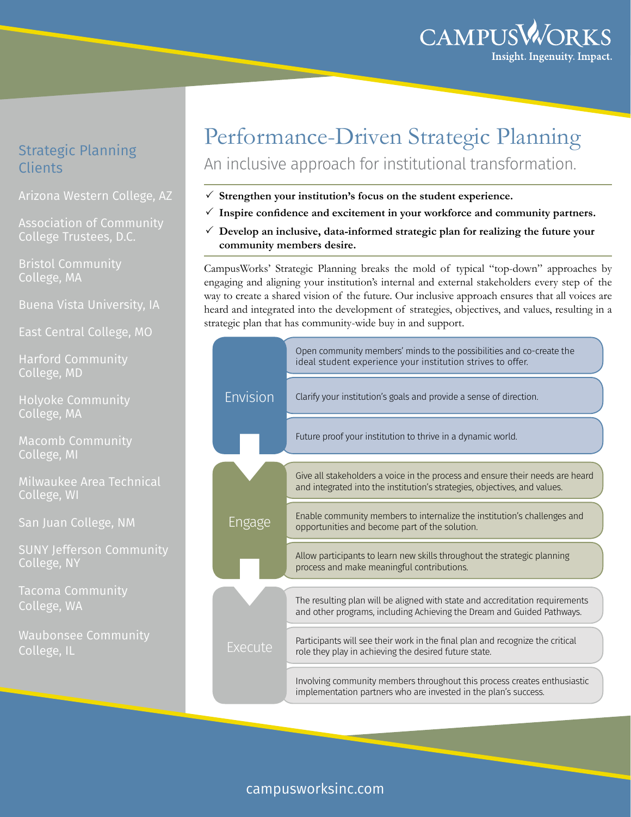

# Strategic Planning **Clients**

Arizona Western College, AZ

Association of Community College Trustees, D.C.

Bristol Community College, MA

Buena Vista University, IA

East Central College, MO

Harford Community College, MD

Holyoke Community College, MA

Macomb Community College, MI

Milwaukee Area Technical College, WI

San Juan College, NM

SUNY Jefferson Community College, NY

Tacoma Community College, WA

Waubonsee Community College, IL

# Performance-Driven Strategic Planning An inclusive approach for institutional transformation.

- $\checkmark$  Strengthen your institution's focus on the student experience.
- $\checkmark$  Inspire confidence and excitement in your workforce and community partners.
- $\checkmark$  Develop an inclusive, data-informed strategic plan for realizing the future your **community members desire.**

CampusWorks' Strategic Planning breaks the mold of typical "top-down" approaches by engaging and aligning your institution's internal and external stakeholders every step of the way to create a shared vision of the future. Our inclusive approach ensures that all voices are heard and integrated into the development of strategies, objectives, and values, resulting in a strategic plan that has community-wide buy in and support.

|                 | Open community members' minds to the possibilities and co-create the<br>ideal student experience your institution strives to offer.                        |
|-----------------|------------------------------------------------------------------------------------------------------------------------------------------------------------|
| <b>Envision</b> | Clarify your institution's goals and provide a sense of direction.                                                                                         |
|                 | Future proof your institution to thrive in a dynamic world.                                                                                                |
|                 | Give all stakeholders a voice in the process and ensure their needs are heard<br>and integrated into the institution's strategies, objectives, and values. |
| Engage          | Enable community members to internalize the institution's challenges and<br>opportunities and become part of the solution.                                 |
|                 | Allow participants to learn new skills throughout the strategic planning<br>process and make meaningful contributions.                                     |
|                 | The resulting plan will be aligned with state and accreditation requirements<br>and other programs, including Achieving the Dream and Guided Pathways.     |
| Execute         | Participants will see their work in the final plan and recognize the critical<br>role they play in achieving the desired future state.                     |
|                 | Involving community members throughout this process creates enthusiastic<br>implementation partners who are invested in the plan's success.                |

# campusworksinc.com